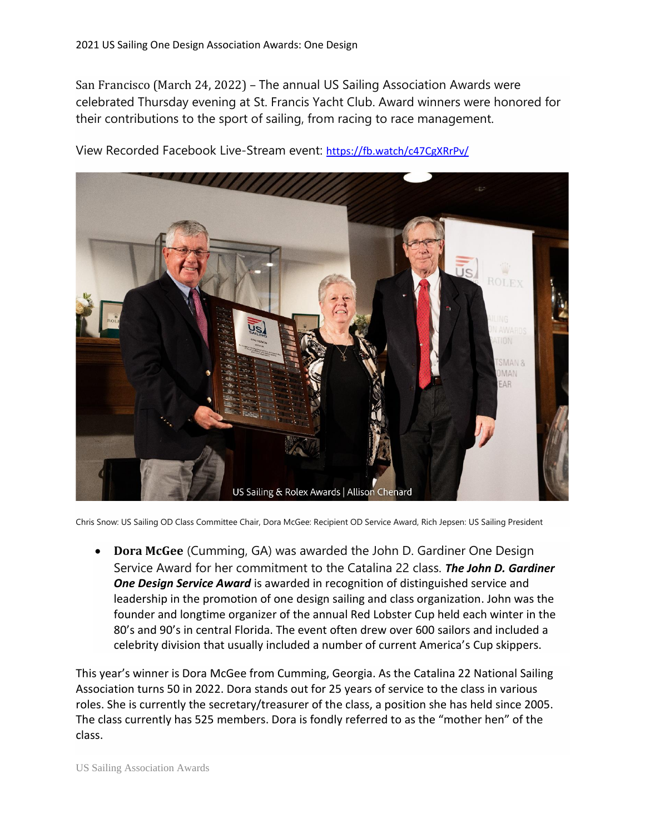San Francisco (March 24, 2022) – The annual US Sailing Association Awards were celebrated Thursday evening at St. Francis Yacht Club. Award winners were honored for their contributions to the sport of sailing, from racing to race management.



View Recorded Facebook Live-Stream event: <https://fb.watch/c47CgXRrPv/>

Chris Snow: US Sailing OD Class Committee Chair, Dora McGee: Recipient OD Service Award, Rich Jepsen: US Sailing President

• **Dora McGee** (Cumming, GA) was awarded the John D. Gardiner One Design Service Award for her commitment to the Catalina 22 class. *The John D. Gardiner One Design Service Award* is awarded in recognition of distinguished service and leadership in the promotion of one design sailing and class organization. John was the founder and longtime organizer of the annual Red Lobster Cup held each winter in the 80's and 90's in central Florida. The event often drew over 600 sailors and included a celebrity division that usually included a number of current America's Cup skippers.

This year's winner is Dora McGee from Cumming, Georgia. As the Catalina 22 National Sailing Association turns 50 in 2022. Dora stands out for 25 years of service to the class in various roles. She is currently the secretary/treasurer of the class, a position she has held since 2005. The class currently has 525 members. Dora is fondly referred to as the "mother hen" of the class.